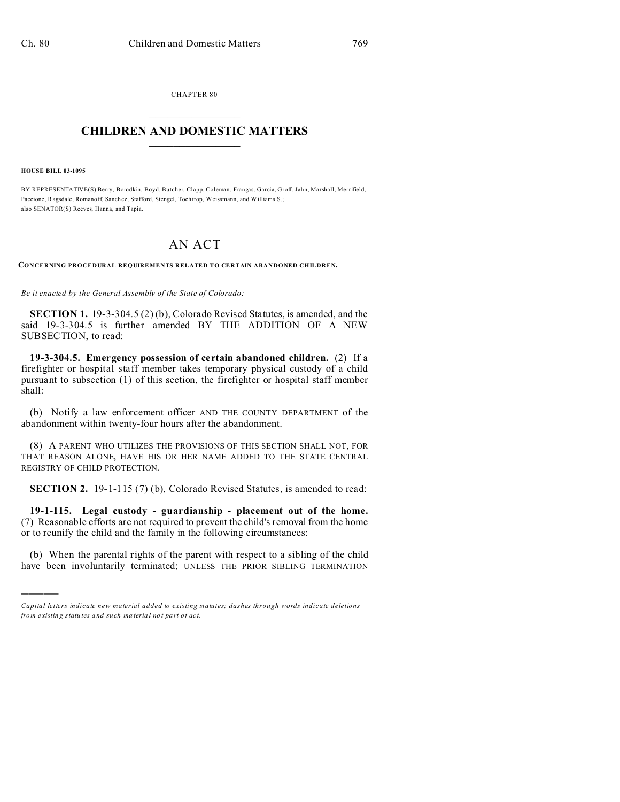CHAPTER 80  $\overline{\phantom{a}}$  , where  $\overline{\phantom{a}}$ 

## **CHILDREN AND DOMESTIC MATTERS**  $\_$   $\_$

**HOUSE BILL 03-1095**

)))))

BY REPRESENTATIVE(S) Berry, Borodkin, Boyd, Butcher, Clapp, Coleman, Frangas, Garcia, Groff, Jahn, Marshall, Merrifield, Paccione, Ragsdale, Romano ff, Sanchez, Stafford, Stengel, Toch trop, Weissmann, and Williams S.; also SENATOR(S) Reeves, Hanna, and Tapia.

## AN ACT

**CONCERNING PROCEDURAL REQUIREMENTS RELATED TO CERTAIN ABANDONED CHILDREN.**

*Be it enacted by the General Assembly of the State of Colorado:*

**SECTION 1.** 19-3-304.5 (2) (b), Colorado Revised Statutes, is amended, and the said 19-3-304.5 is further amended BY THE ADDITION OF A NEW SUBSECTION, to read:

**19-3-304.5. Emergency possession of certain abandoned children.** (2) If a firefighter or hospital staff member takes temporary physical custody of a child pursuant to subsection (1) of this section, the firefighter or hospital staff member shall:

(b) Notify a law enforcement officer AND THE COUNTY DEPARTMENT of the abandonment within twenty-four hours after the abandonment.

(8) A PARENT WHO UTILIZES THE PROVISIONS OF THIS SECTION SHALL NOT, FOR THAT REASON ALONE, HAVE HIS OR HER NAME ADDED TO THE STATE CENTRAL REGISTRY OF CHILD PROTECTION.

**SECTION 2.** 19-1-115 (7) (b), Colorado Revised Statutes, is amended to read:

**19-1-115. Legal custody - guardianship - placement out of the home.** (7) Reasonable efforts are not required to prevent the child's removal from the home or to reunify the child and the family in the following circumstances:

(b) When the parental rights of the parent with respect to a sibling of the child have been involuntarily terminated; UNLESS THE PRIOR SIBLING TERMINATION

*Capital letters indicate new material added to existing statutes; dashes through words indicate deletions from e xistin g statu tes a nd such ma teria l no t pa rt of ac t.*